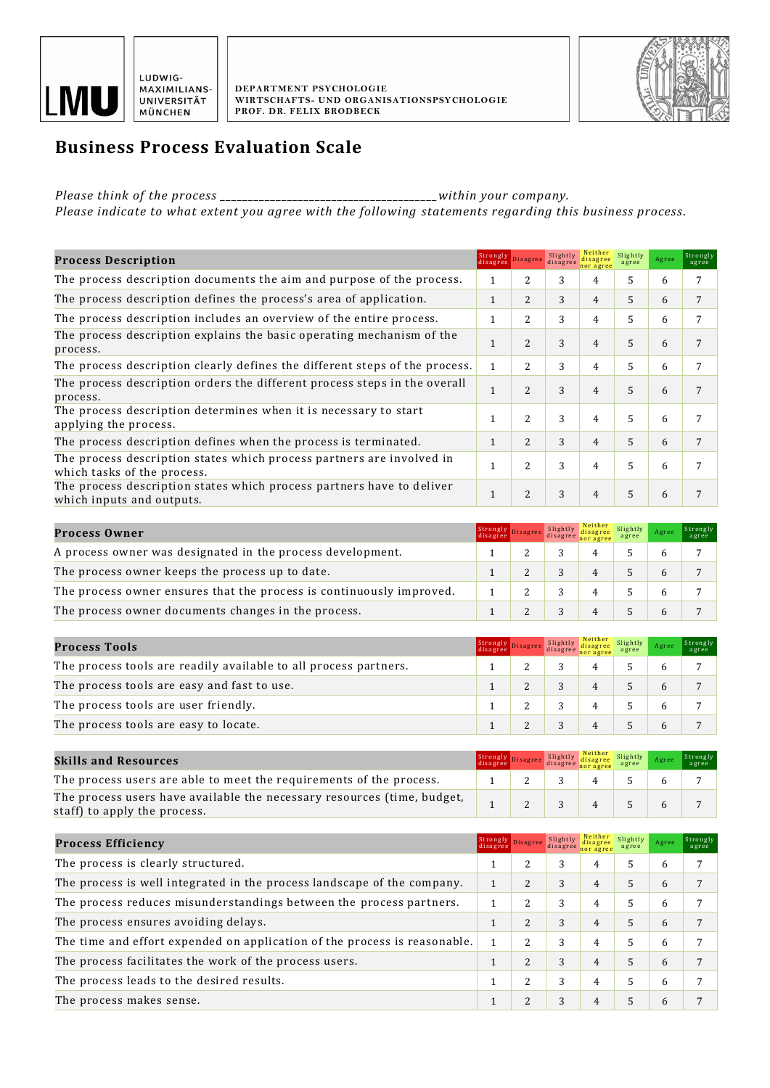



## **Business Process Evaluation Scale**

*Please think of the process \_\_\_\_\_\_\_\_\_\_\_\_\_\_\_\_\_\_\_\_\_\_\_\_\_\_\_\_\_\_\_\_\_\_\_\_\_\_\_within your company.* 

*Please indicate to what extent you agree with the following statements regarding this business process*.

| <b>Process Description</b>                                                                           |              | Strongly Disagree        | Slightly<br>disagree | nor agree | Slightly<br>agree | Agree | Strongly<br>agree |
|------------------------------------------------------------------------------------------------------|--------------|--------------------------|----------------------|-----------|-------------------|-------|-------------------|
| The process description documents the aim and purpose of the process.                                |              | 2                        | 3                    | 4         | 5                 | 6     |                   |
| The process description defines the process's area of application.                                   |              | 2                        | 3                    | 4         | 5                 | 6     |                   |
| The process description includes an overview of the entire process.                                  |              | 2                        | 3                    | 4         | 5                 | 6     |                   |
| The process description explains the basic operating mechanism of the<br>process.                    |              | $\overline{\mathcal{L}}$ | 3                    | 4         | 5                 | 6     |                   |
| The process description clearly defines the different steps of the process.                          | $\mathbf{1}$ | 2                        | 3                    | 4         | 5                 | 6     |                   |
| The process description orders the different process steps in the overall<br>process.                |              | $\overline{\mathcal{L}}$ | 3                    | 4         | 5                 | 6     |                   |
| The process description determines when it is necessary to start<br>applying the process.            |              | $\overline{2}$           | 3                    | 4         | 5                 | 6     |                   |
| The process description defines when the process is terminated.                                      |              | 2                        | 3                    | 4         | 5                 | 6     |                   |
| The process description states which process partners are involved in<br>which tasks of the process. |              | $\overline{2}$           | 3                    | 4         | 5                 | 6     |                   |
| The process description states which process partners have to deliver<br>which inputs and outputs.   |              | $\overline{2}$           | 3                    | 4         | 5                 | 6     |                   |

| <b>Process Owner</b>                                                 | Strongly<br>disagree | disagree | disagree<br>nor agree | Slightly<br>agree | Agree | Strongly<br>agree |
|----------------------------------------------------------------------|----------------------|----------|-----------------------|-------------------|-------|-------------------|
| A process owner was designated in the process development.           |                      |          |                       |                   |       |                   |
| The process owner keeps the process up to date.                      |                      |          |                       |                   |       |                   |
| The process owner ensures that the process is continuously improved. |                      |          |                       |                   |       |                   |
| The process owner documents changes in the process.                  |                      |          |                       |                   |       |                   |

| Process Tools                                                    | Strongly<br>disagree | disagree | Neither Slightly<br>disagree<br>nor agree | agree | Agree | Strongly<br>agree |
|------------------------------------------------------------------|----------------------|----------|-------------------------------------------|-------|-------|-------------------|
| The process tools are readily available to all process partners. |                      |          |                                           |       |       |                   |
| The process tools are easy and fast to use.                      |                      |          |                                           |       |       |                   |
| The process tools are user friendly.                             |                      |          |                                           |       |       |                   |
| The process tools are easy to locate.                            |                      |          |                                           |       |       |                   |

| <b>Skills and Resources</b>                                                                             | Strongly<br>disagree | Slightly | Neither<br>disagree Slightly<br>disagree disagree | Agree | Strongly<br>agree |
|---------------------------------------------------------------------------------------------------------|----------------------|----------|---------------------------------------------------|-------|-------------------|
| The process users are able to meet the requirements of the process.                                     |                      |          |                                                   |       |                   |
| The process users have available the necessary resources (time, budget,<br>staff) to apply the process. |                      |          |                                                   |       |                   |

| <b>Process Efficiency</b>                                                 | Strongly Disagree<br>disagree |                | Slightly<br>disagree | Neither<br>nor agree | Slightly<br>agree | Agree | Strongly<br>agree |
|---------------------------------------------------------------------------|-------------------------------|----------------|----------------------|----------------------|-------------------|-------|-------------------|
| The process is clearly structured.                                        |                               | 2              | 3                    | 4                    |                   | 6     | 7                 |
| The process is well integrated in the process landscape of the company.   |                               | $\overline{c}$ | 3                    | 4                    |                   | 6     | 7                 |
| The process reduces misunderstandings between the process partners.       |                               | 2              | 3                    | 4                    | 5.                | 6     | 7                 |
| The process ensures avoiding delays.                                      |                               | 2              | 3                    | 4                    |                   | 6     | 7                 |
| The time and effort expended on application of the process is reasonable. |                               | 2              | 3                    | 4                    |                   | 6     |                   |
| The process facilitates the work of the process users.                    |                               | 2              | 3                    | 4                    |                   | 6     | 7                 |
| The process leads to the desired results.                                 |                               | 2              | 3                    | 4                    |                   | 6     | 7                 |
| The process makes sense.                                                  |                               | C              | 3                    | 4                    |                   | 6     | 7                 |